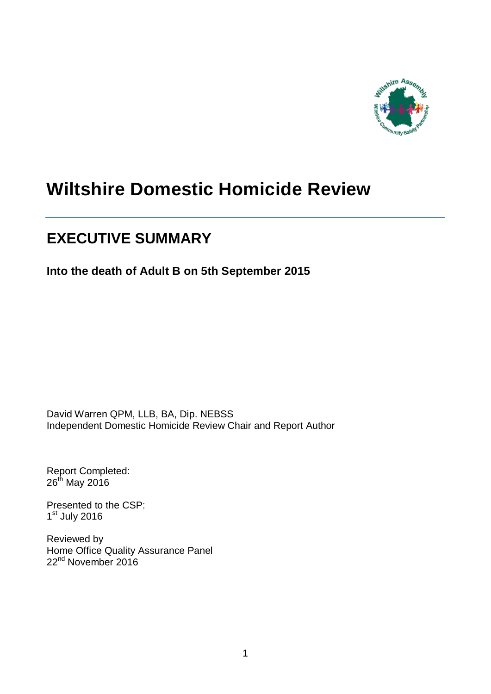

# **Wiltshire Domestic Homicide Review**

# **EXECUTIVE SUMMARY**

**Into the death of Adult B on 5th September 2015**

David Warren QPM, LLB, BA, Dip. NEBSS Independent Domestic Homicide Review Chair and Report Author

Report Completed: 26<sup>th</sup> May 2016

Presented to the CSP: 1st July 2016

Reviewed by Home Office Quality Assurance Panel 22<sup>nd</sup> November 2016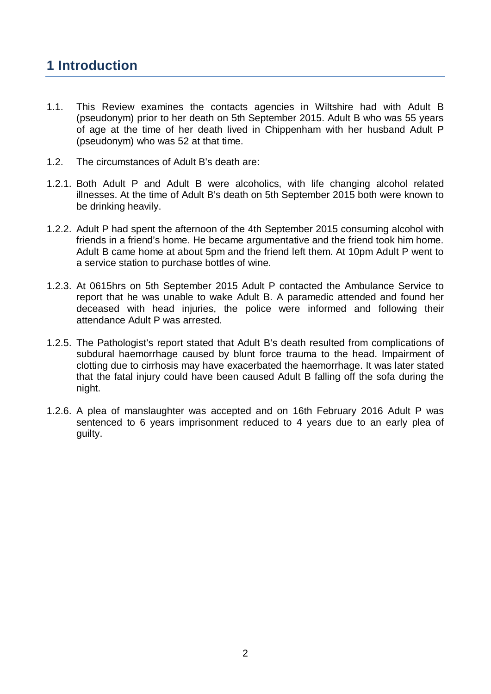# **1 Introduction**

- 1.1. This Review examines the contacts agencies in Wiltshire had with Adult B (pseudonym) prior to her death on 5th September 2015. Adult B who was 55 years of age at the time of her death lived in Chippenham with her husband Adult P (pseudonym) who was 52 at that time.
- 1.2. The circumstances of Adult B's death are:
- 1.2.1. Both Adult P and Adult B were alcoholics, with life changing alcohol related illnesses. At the time of Adult B's death on 5th September 2015 both were known to be drinking heavily.
- 1.2.2. Adult P had spent the afternoon of the 4th September 2015 consuming alcohol with friends in a friend's home. He became argumentative and the friend took him home. Adult B came home at about 5pm and the friend left them. At 10pm Adult P went to a service station to purchase bottles of wine.
- 1.2.3. At 0615hrs on 5th September 2015 Adult P contacted the Ambulance Service to report that he was unable to wake Adult B. A paramedic attended and found her deceased with head injuries, the police were informed and following their attendance Adult P was arrested.
- 1.2.5. The Pathologist's report stated that Adult B's death resulted from complications of subdural haemorrhage caused by blunt force trauma to the head. Impairment of clotting due to cirrhosis may have exacerbated the haemorrhage. It was later stated that the fatal injury could have been caused Adult B falling off the sofa during the night.
- 1.2.6. A plea of manslaughter was accepted and on 16th February 2016 Adult P was sentenced to 6 years imprisonment reduced to 4 years due to an early plea of guilty.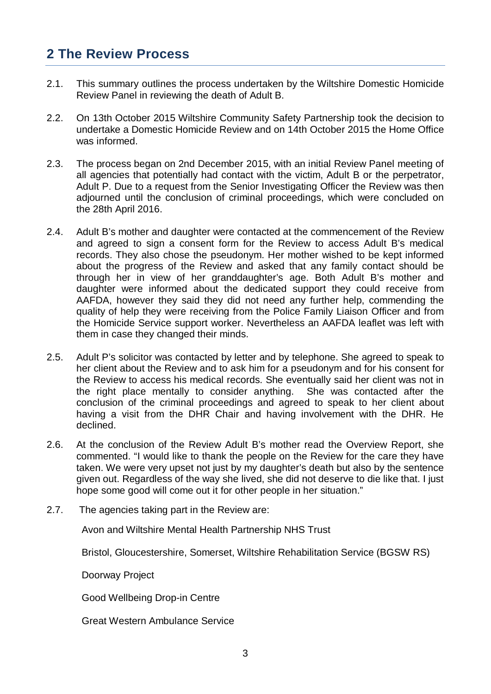# **2 The Review Process**

- 2.1. This summary outlines the process undertaken by the Wiltshire Domestic Homicide Review Panel in reviewing the death of Adult B.
- 2.2. On 13th October 2015 Wiltshire Community Safety Partnership took the decision to undertake a Domestic Homicide Review and on 14th October 2015 the Home Office was informed.
- 2.3. The process began on 2nd December 2015, with an initial Review Panel meeting of all agencies that potentially had contact with the victim, Adult B or the perpetrator, Adult P. Due to a request from the Senior Investigating Officer the Review was then adjourned until the conclusion of criminal proceedings, which were concluded on the 28th April 2016.
- 2.4. Adult B's mother and daughter were contacted at the commencement of the Review and agreed to sign a consent form for the Review to access Adult B's medical records. They also chose the pseudonym. Her mother wished to be kept informed about the progress of the Review and asked that any family contact should be through her in view of her granddaughter's age. Both Adult B's mother and daughter were informed about the dedicated support they could receive from AAFDA, however they said they did not need any further help, commending the quality of help they were receiving from the Police Family Liaison Officer and from the Homicide Service support worker. Nevertheless an AAFDA leaflet was left with them in case they changed their minds.
- 2.5. Adult P's solicitor was contacted by letter and by telephone. She agreed to speak to her client about the Review and to ask him for a pseudonym and for his consent for the Review to access his medical records. She eventually said her client was not in the right place mentally to consider anything. She was contacted after the conclusion of the criminal proceedings and agreed to speak to her client about having a visit from the DHR Chair and having involvement with the DHR. He declined.
- 2.6. At the conclusion of the Review Adult B's mother read the Overview Report, she commented. "I would like to thank the people on the Review for the care they have taken. We were very upset not just by my daughter's death but also by the sentence given out. Regardless of the way she lived, she did not deserve to die like that. I just hope some good will come out it for other people in her situation."
- 2.7. The agencies taking part in the Review are:

Avon and Wiltshire Mental Health Partnership NHS Trust

Bristol, Gloucestershire, Somerset, Wiltshire Rehabilitation Service (BGSW RS)

Doorway Project

Good Wellbeing Drop-in Centre

Great Western Ambulance Service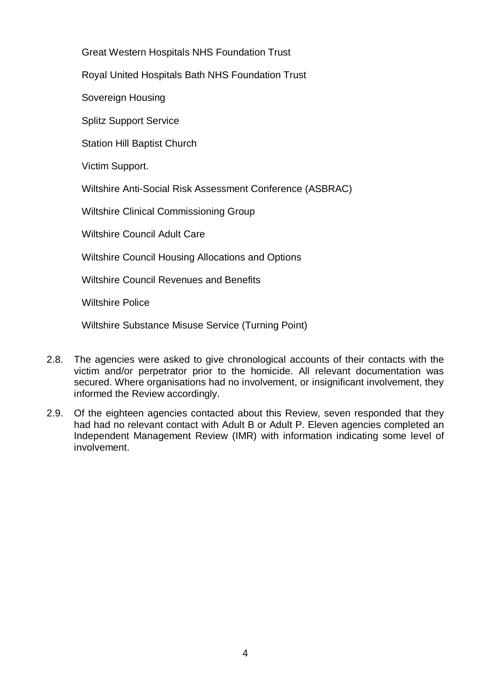Great Western Hospitals NHS Foundation Trust

Royal United Hospitals Bath NHS Foundation Trust

Sovereign Housing

Splitz Support Service

Station Hill Baptist Church

Victim Support.

Wiltshire Anti-Social Risk Assessment Conference (ASBRAC)

Wiltshire Clinical Commissioning Group

Wiltshire Council Adult Care

Wiltshire Council Housing Allocations and Options

Wiltshire Council Revenues and Benefits

Wiltshire Police

Wiltshire Substance Misuse Service (Turning Point)

- 2.8. The agencies were asked to give chronological accounts of their contacts with the victim and/or perpetrator prior to the homicide. All relevant documentation was secured. Where organisations had no involvement, or insignificant involvement, they informed the Review accordingly.
- 2.9. Of the eighteen agencies contacted about this Review, seven responded that they had had no relevant contact with Adult B or Adult P. Eleven agencies completed an Independent Management Review (IMR) with information indicating some level of involvement.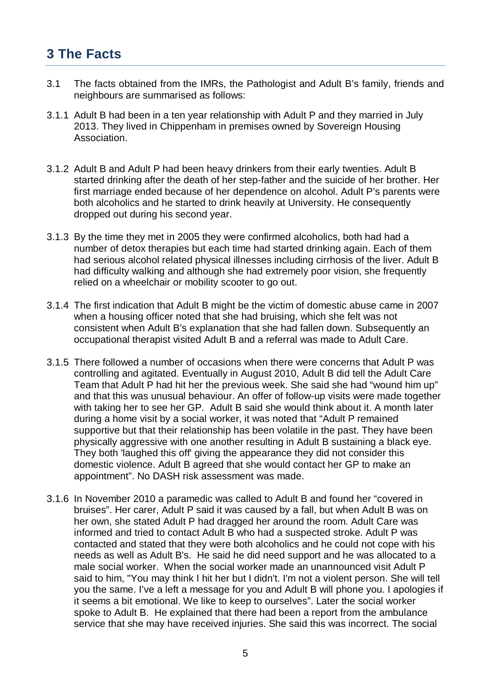# **3 The Facts**

- 3.1 The facts obtained from the IMRs, the Pathologist and Adult B's family, friends and neighbours are summarised as follows:
- 3.1.1 Adult B had been in a ten year relationship with Adult P and they married in July 2013. They lived in Chippenham in premises owned by Sovereign Housing Association.
- 3.1.2 Adult B and Adult P had been heavy drinkers from their early twenties. Adult B started drinking after the death of her step-father and the suicide of her brother. Her first marriage ended because of her dependence on alcohol. Adult P's parents were both alcoholics and he started to drink heavily at University. He consequently dropped out during his second year.
- 3.1.3 By the time they met in 2005 they were confirmed alcoholics, both had had a number of detox therapies but each time had started drinking again. Each of them had serious alcohol related physical illnesses including cirrhosis of the liver. Adult B had difficulty walking and although she had extremely poor vision, she frequently relied on a wheelchair or mobility scooter to go out.
- 3.1.4 The first indication that Adult B might be the victim of domestic abuse came in 2007 when a housing officer noted that she had bruising, which she felt was not consistent when Adult B's explanation that she had fallen down. Subsequently an occupational therapist visited Adult B and a referral was made to Adult Care.
- 3.1.5 There followed a number of occasions when there were concerns that Adult P was controlling and agitated. Eventually in August 2010, Adult B did tell the Adult Care Team that Adult P had hit her the previous week. She said she had "wound him up" and that this was unusual behaviour. An offer of follow-up visits were made together with taking her to see her GP. Adult B said she would think about it. A month later during a home visit by a social worker, it was noted that "Adult P remained supportive but that their relationship has been volatile in the past. They have been physically aggressive with one another resulting in Adult B sustaining a black eye. They both 'laughed this off' giving the appearance they did not consider this domestic violence. Adult B agreed that she would contact her GP to make an appointment". No DASH risk assessment was made.
- 3.1.6 In November 2010 a paramedic was called to Adult B and found her "covered in bruises". Her carer, Adult P said it was caused by a fall, but when Adult B was on her own, she stated Adult P had dragged her around the room. Adult Care was informed and tried to contact Adult B who had a suspected stroke. Adult P was contacted and stated that they were both alcoholics and he could not cope with his needs as well as Adult B's. He said he did need support and he was allocated to a male social worker. When the social worker made an unannounced visit Adult P said to him, "You may think I hit her but I didn't. I'm not a violent person. She will tell you the same. I've a left a message for you and Adult B will phone you. I apologies if it seems a bit emotional. We like to keep to ourselves". Later the social worker spoke to Adult B. He explained that there had been a report from the ambulance service that she may have received injuries. She said this was incorrect. The social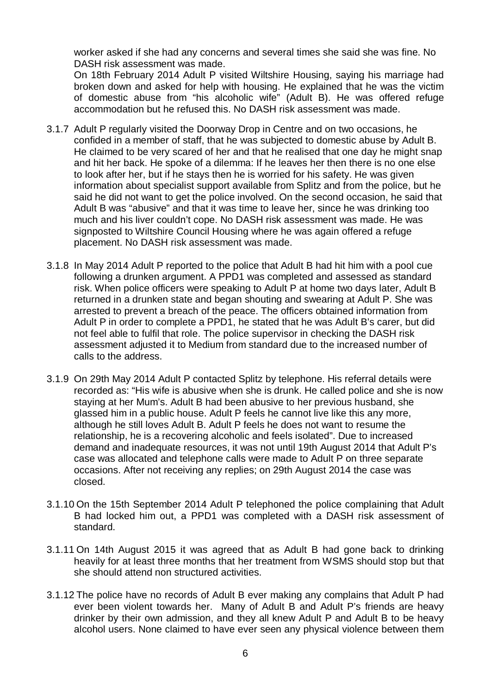worker asked if she had any concerns and several times she said she was fine. No DASH risk assessment was made.

On 18th February 2014 Adult P visited Wiltshire Housing, saying his marriage had broken down and asked for help with housing. He explained that he was the victim of domestic abuse from "his alcoholic wife" (Adult B). He was offered refuge accommodation but he refused this. No DASH risk assessment was made.

- 3.1.7 Adult P regularly visited the Doorway Drop in Centre and on two occasions, he confided in a member of staff, that he was subjected to domestic abuse by Adult B. He claimed to be very scared of her and that he realised that one day he might snap and hit her back. He spoke of a dilemma: If he leaves her then there is no one else to look after her, but if he stays then he is worried for his safety. He was given information about specialist support available from Splitz and from the police, but he said he did not want to get the police involved. On the second occasion, he said that Adult B was "abusive" and that it was time to leave her, since he was drinking too much and his liver couldn't cope. No DASH risk assessment was made. He was signposted to Wiltshire Council Housing where he was again offered a refuge placement. No DASH risk assessment was made.
- 3.1.8 In May 2014 Adult P reported to the police that Adult B had hit him with a pool cue following a drunken argument. A PPD1 was completed and assessed as standard risk. When police officers were speaking to Adult P at home two days later, Adult B returned in a drunken state and began shouting and swearing at Adult P. She was arrested to prevent a breach of the peace. The officers obtained information from Adult P in order to complete a PPD1, he stated that he was Adult B's carer, but did not feel able to fulfil that role. The police supervisor in checking the DASH risk assessment adjusted it to Medium from standard due to the increased number of calls to the address.
- 3.1.9 On 29th May 2014 Adult P contacted Splitz by telephone. His referral details were recorded as: "His wife is abusive when she is drunk. He called police and she is now staying at her Mum's. Adult B had been abusive to her previous husband, she glassed him in a public house. Adult P feels he cannot live like this any more, although he still loves Adult B. Adult P feels he does not want to resume the relationship, he is a recovering alcoholic and feels isolated". Due to increased demand and inadequate resources, it was not until 19th August 2014 that Adult P's case was allocated and telephone calls were made to Adult P on three separate occasions. After not receiving any replies; on 29th August 2014 the case was closed.
- 3.1.10 On the 15th September 2014 Adult P telephoned the police complaining that Adult B had locked him out, a PPD1 was completed with a DASH risk assessment of standard.
- 3.1.11 On 14th August 2015 it was agreed that as Adult B had gone back to drinking heavily for at least three months that her treatment from WSMS should stop but that she should attend non structured activities.
- 3.1.12 The police have no records of Adult B ever making any complains that Adult P had ever been violent towards her. Many of Adult B and Adult P's friends are heavy drinker by their own admission, and they all knew Adult P and Adult B to be heavy alcohol users. None claimed to have ever seen any physical violence between them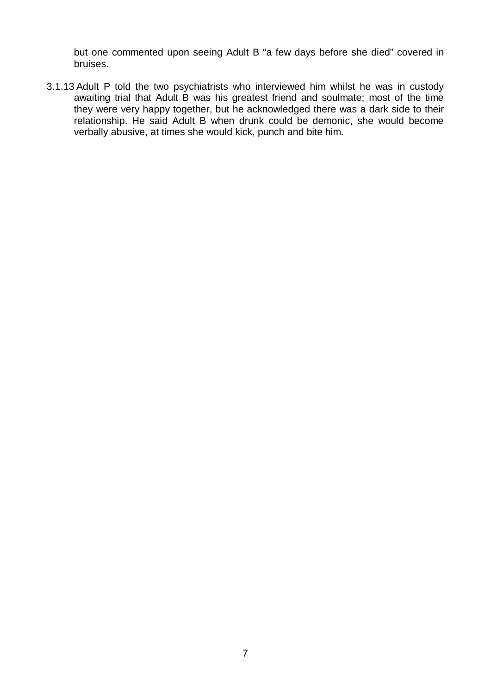but one commented upon seeing Adult B "a few days before she died" covered in bruises.

3.1.13 Adult P told the two psychiatrists who interviewed him whilst he was in custody awaiting trial that Adult B was his greatest friend and soulmate; most of the time they were very happy together, but he acknowledged there was a dark side to their relationship. He said Adult B when drunk could be demonic, she would become verbally abusive, at times she would kick, punch and bite him.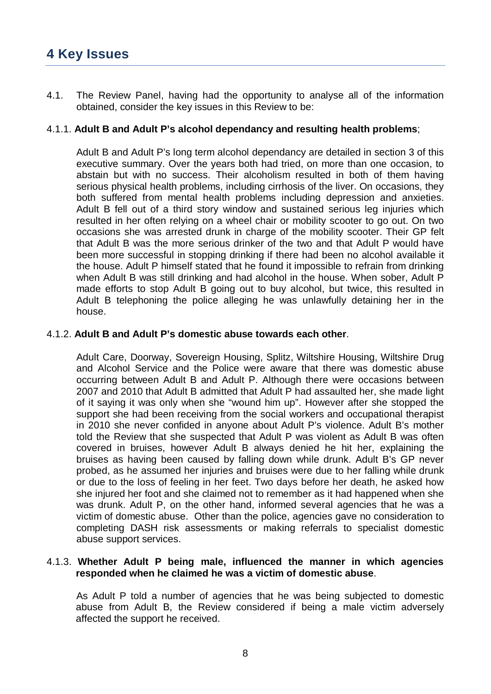### 4.1. The Review Panel, having had the opportunity to analyse all of the information obtained, consider the key issues in this Review to be:

# 4.1.1. **Adult B and Adult P's alcohol dependancy and resulting health problems**;

Adult B and Adult P's long term alcohol dependancy are detailed in section 3 of this executive summary. Over the years both had tried, on more than one occasion, to abstain but with no success. Their alcoholism resulted in both of them having serious physical health problems, including cirrhosis of the liver. On occasions, they both suffered from mental health problems including depression and anxieties. Adult B fell out of a third story window and sustained serious leg injuries which resulted in her often relying on a wheel chair or mobility scooter to go out. On two occasions she was arrested drunk in charge of the mobility scooter. Their GP felt that Adult B was the more serious drinker of the two and that Adult P would have been more successful in stopping drinking if there had been no alcohol available it the house. Adult P himself stated that he found it impossible to refrain from drinking when Adult B was still drinking and had alcohol in the house. When sober, Adult P made efforts to stop Adult B going out to buy alcohol, but twice, this resulted in Adult B telephoning the police alleging he was unlawfully detaining her in the house.

# 4.1.2. **Adult B and Adult P's domestic abuse towards each other**.

Adult Care, Doorway, Sovereign Housing, Splitz, Wiltshire Housing, Wiltshire Drug and Alcohol Service and the Police were aware that there was domestic abuse occurring between Adult B and Adult P. Although there were occasions between 2007 and 2010 that Adult B admitted that Adult P had assaulted her, she made light of it saying it was only when she "wound him up". However after she stopped the support she had been receiving from the social workers and occupational therapist in 2010 she never confided in anyone about Adult P's violence. Adult B's mother told the Review that she suspected that Adult P was violent as Adult B was often covered in bruises, however Adult B always denied he hit her, explaining the bruises as having been caused by falling down while drunk. Adult B's GP never probed, as he assumed her injuries and bruises were due to her falling while drunk or due to the loss of feeling in her feet. Two days before her death, he asked how she injured her foot and she claimed not to remember as it had happened when she was drunk. Adult P, on the other hand, informed several agencies that he was a victim of domestic abuse. Other than the police, agencies gave no consideration to completing DASH risk assessments or making referrals to specialist domestic abuse support services.

#### 4.1.3. **Whether Adult P being male, influenced the manner in which agencies responded when he claimed he was a victim of domestic abuse**.

As Adult P told a number of agencies that he was being subjected to domestic abuse from Adult B, the Review considered if being a male victim adversely affected the support he received.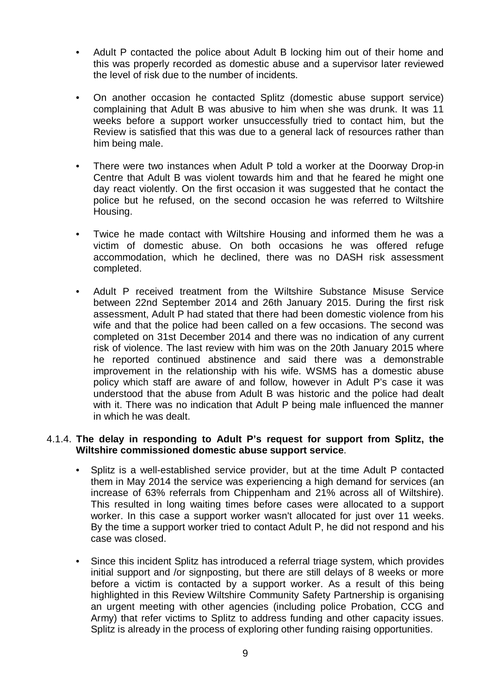- Adult P contacted the police about Adult B locking him out of their home and this was properly recorded as domestic abuse and a supervisor later reviewed the level of risk due to the number of incidents.
- On another occasion he contacted Splitz (domestic abuse support service) complaining that Adult B was abusive to him when she was drunk. It was 11 weeks before a support worker unsuccessfully tried to contact him, but the Review is satisfied that this was due to a general lack of resources rather than him being male.
- There were two instances when Adult P told a worker at the Doorway Drop-in Centre that Adult B was violent towards him and that he feared he might one day react violently. On the first occasion it was suggested that he contact the police but he refused, on the second occasion he was referred to Wiltshire Housing.
- Twice he made contact with Wiltshire Housing and informed them he was a victim of domestic abuse. On both occasions he was offered refuge accommodation, which he declined, there was no DASH risk assessment completed.
- Adult P received treatment from the Wiltshire Substance Misuse Service between 22nd September 2014 and 26th January 2015. During the first risk assessment, Adult P had stated that there had been domestic violence from his wife and that the police had been called on a few occasions. The second was completed on 31st December 2014 and there was no indication of any current risk of violence. The last review with him was on the 20th January 2015 where he reported continued abstinence and said there was a demonstrable improvement in the relationship with his wife. WSMS has a domestic abuse policy which staff are aware of and follow, however in Adult P's case it was understood that the abuse from Adult B was historic and the police had dealt with it. There was no indication that Adult P being male influenced the manner in which he was dealt.

#### 4.1.4. **The delay in responding to Adult P's request for support from Splitz, the Wiltshire commissioned domestic abuse support service**.

- Splitz is a well-established service provider, but at the time Adult P contacted them in May 2014 the service was experiencing a high demand for services (an increase of 63% referrals from Chippenham and 21% across all of Wiltshire). This resulted in long waiting times before cases were allocated to a support worker. In this case a support worker wasn't allocated for just over 11 weeks. By the time a support worker tried to contact Adult P, he did not respond and his case was closed.
- Since this incident Splitz has introduced a referral triage system, which provides initial support and /or signposting, but there are still delays of 8 weeks or more before a victim is contacted by a support worker. As a result of this being highlighted in this Review Wiltshire Community Safety Partnership is organising an urgent meeting with other agencies (including police Probation, CCG and Army) that refer victims to Splitz to address funding and other capacity issues. Splitz is already in the process of exploring other funding raising opportunities.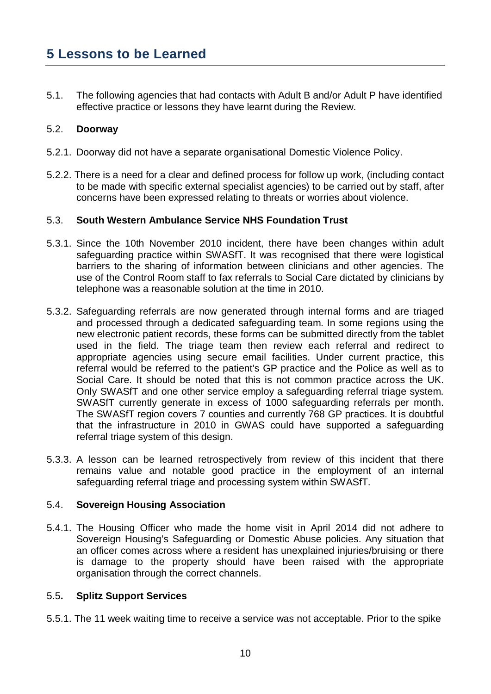# **5 Lessons to be Learned**

5.1. The following agencies that had contacts with Adult B and/or Adult P have identified effective practice or lessons they have learnt during the Review.

# 5.2. **Doorway**

- 5.2.1. Doorway did not have a separate organisational Domestic Violence Policy.
- 5.2.2. There is a need for a clear and defined process for follow up work, (including contact to be made with specific external specialist agencies) to be carried out by staff, after concerns have been expressed relating to threats or worries about violence.

# 5.3. **South Western Ambulance Service NHS Foundation Trust**

- 5.3.1. Since the 10th November 2010 incident, there have been changes within adult safeguarding practice within SWASfT. It was recognised that there were logistical barriers to the sharing of information between clinicians and other agencies. The use of the Control Room staff to fax referrals to Social Care dictated by clinicians by telephone was a reasonable solution at the time in 2010.
- 5.3.2. Safeguarding referrals are now generated through internal forms and are triaged and processed through a dedicated safeguarding team. In some regions using the new electronic patient records, these forms can be submitted directly from the tablet used in the field. The triage team then review each referral and redirect to appropriate agencies using secure email facilities. Under current practice, this referral would be referred to the patient's GP practice and the Police as well as to Social Care. It should be noted that this is not common practice across the UK. Only SWASfT and one other service employ a safeguarding referral triage system. SWASfT currently generate in excess of 1000 safeguarding referrals per month. The SWASfT region covers 7 counties and currently 768 GP practices. It is doubtful that the infrastructure in 2010 in GWAS could have supported a safeguarding referral triage system of this design.
- 5.3.3. A lesson can be learned retrospectively from review of this incident that there remains value and notable good practice in the employment of an internal safeguarding referral triage and processing system within SWASfT.

# 5.4. **Sovereign Housing Association**

5.4.1. The Housing Officer who made the home visit in April 2014 did not adhere to Sovereign Housing's Safeguarding or Domestic Abuse policies. Any situation that an officer comes across where a resident has unexplained injuries/bruising or there is damage to the property should have been raised with the appropriate organisation through the correct channels.

#### 5.5**. Splitz Support Services**

5.5.1. The 11 week waiting time to receive a service was not acceptable. Prior to the spike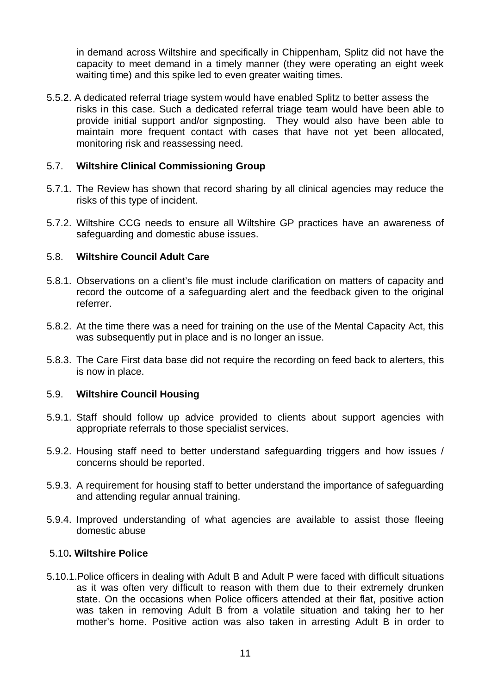in demand across Wiltshire and specifically in Chippenham, Splitz did not have the capacity to meet demand in a timely manner (they were operating an eight week waiting time) and this spike led to even greater waiting times.

5.5.2. A dedicated referral triage system would have enabled Splitz to better assess the risks in this case. Such a dedicated referral triage team would have been able to provide initial support and/or signposting. They would also have been able to maintain more frequent contact with cases that have not yet been allocated, monitoring risk and reassessing need.

# 5.7. **Wiltshire Clinical Commissioning Group**

- 5.7.1. The Review has shown that record sharing by all clinical agencies may reduce the risks of this type of incident.
- 5.7.2. Wiltshire CCG needs to ensure all Wiltshire GP practices have an awareness of safeguarding and domestic abuse issues.

# 5.8. **Wiltshire Council Adult Care**

- 5.8.1. Observations on a client's file must include clarification on matters of capacity and record the outcome of a safeguarding alert and the feedback given to the original referrer.
- 5.8.2. At the time there was a need for training on the use of the Mental Capacity Act, this was subsequently put in place and is no longer an issue.
- 5.8.3. The Care First data base did not require the recording on feed back to alerters, this is now in place.

# 5.9. **Wiltshire Council Housing**

- 5.9.1. Staff should follow up advice provided to clients about support agencies with appropriate referrals to those specialist services.
- 5.9.2. Housing staff need to better understand safeguarding triggers and how issues / concerns should be reported.
- 5.9.3. A requirement for housing staff to better understand the importance of safeguarding and attending regular annual training.
- 5.9.4. Improved understanding of what agencies are available to assist those fleeing domestic abuse

# 5.10**. Wiltshire Police**

5.10.1.Police officers in dealing with Adult B and Adult P were faced with difficult situations as it was often very difficult to reason with them due to their extremely drunken state. On the occasions when Police officers attended at their flat, positive action was taken in removing Adult B from a volatile situation and taking her to her mother's home. Positive action was also taken in arresting Adult B in order to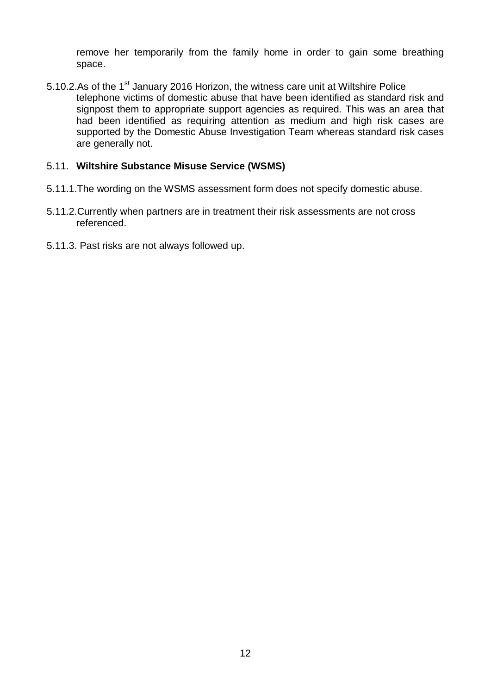remove her temporarily from the family home in order to gain some breathing space.

5.10.2.As of the 1<sup>st</sup> January 2016 Horizon, the witness care unit at Wiltshire Police telephone victims of domestic abuse that have been identified as standard risk and signpost them to appropriate support agencies as required. This was an area that had been identified as requiring attention as medium and high risk cases are supported by the Domestic Abuse Investigation Team whereas standard risk cases are generally not.

# 5.11. **Wiltshire Substance Misuse Service (WSMS)**

- 5.11.1.The wording on the WSMS assessment form does not specify domestic abuse.
- 5.11.2.Currently when partners are in treatment their risk assessments are not cross referenced.
- 5.11.3. Past risks are not always followed up.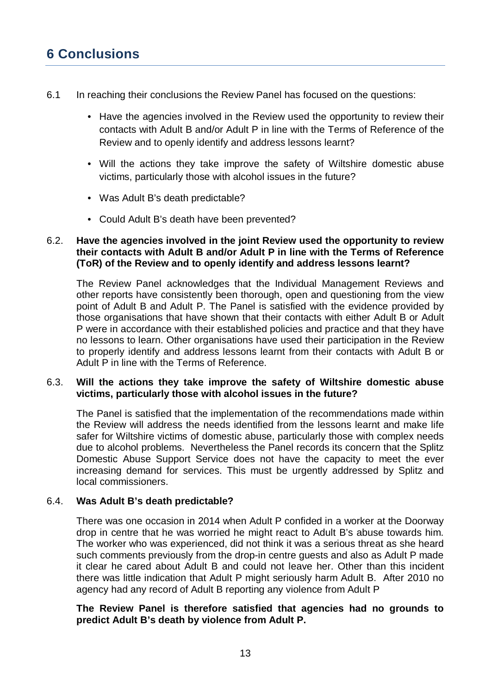# **6 Conclusions**

- 6.1 In reaching their conclusions the Review Panel has focused on the questions:
	- Have the agencies involved in the Review used the opportunity to review their contacts with Adult B and/or Adult P in line with the Terms of Reference of the Review and to openly identify and address lessons learnt?
	- Will the actions they take improve the safety of Wiltshire domestic abuse victims, particularly those with alcohol issues in the future?
	- Was Adult B's death predictable?
	- Could Adult B's death have been prevented?

# 6.2. **Have the agencies involved in the joint Review used the opportunity to review their contacts with Adult B and/or Adult P in line with the Terms of Reference (ToR) of the Review and to openly identify and address lessons learnt?**

The Review Panel acknowledges that the Individual Management Reviews and other reports have consistently been thorough, open and questioning from the view point of Adult B and Adult P. The Panel is satisfied with the evidence provided by those organisations that have shown that their contacts with either Adult B or Adult P were in accordance with their established policies and practice and that they have no lessons to learn. Other organisations have used their participation in the Review to properly identify and address lessons learnt from their contacts with Adult B or Adult P in line with the Terms of Reference.

# 6.3. **Will the actions they take improve the safety of Wiltshire domestic abuse victims, particularly those with alcohol issues in the future?**

The Panel is satisfied that the implementation of the recommendations made within the Review will address the needs identified from the lessons learnt and make life safer for Wiltshire victims of domestic abuse, particularly those with complex needs due to alcohol problems. Nevertheless the Panel records its concern that the Splitz Domestic Abuse Support Service does not have the capacity to meet the ever increasing demand for services. This must be urgently addressed by Splitz and local commissioners.

# 6.4. **Was Adult B's death predictable?**

There was one occasion in 2014 when Adult P confided in a worker at the Doorway drop in centre that he was worried he might react to Adult B's abuse towards him. The worker who was experienced, did not think it was a serious threat as she heard such comments previously from the drop-in centre guests and also as Adult P made it clear he cared about Adult B and could not leave her. Other than this incident there was little indication that Adult P might seriously harm Adult B. After 2010 no agency had any record of Adult B reporting any violence from Adult P

# **The Review Panel is therefore satisfied that agencies had no grounds to predict Adult B's death by violence from Adult P.**